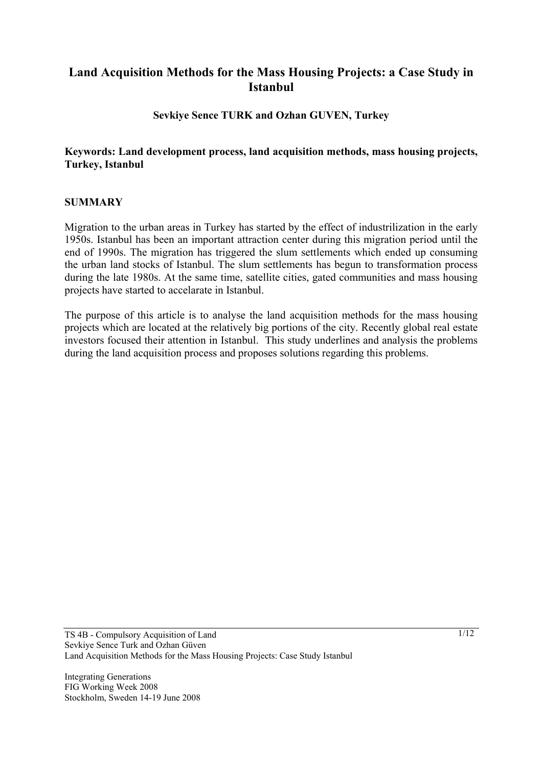# **Land Acquisition Methods for the Mass Housing Projects: a Case Study in Istanbul**

**Sevkiye Sence TURK and Ozhan GUVEN, Turkey** 

### **Keywords: Land development process, land acquisition methods, mass housing projects, Turkey, Istanbul**

### **SUMMARY**

Migration to the urban areas in Turkey has started by the effect of industrilization in the early 1950s. Istanbul has been an important attraction center during this migration period until the end of 1990s. The migration has triggered the slum settlements which ended up consuming the urban land stocks of Istanbul. The slum settlements has begun to transformation process during the late 1980s. At the same time, satellite cities, gated communities and mass housing projects have started to accelarate in Istanbul.

The purpose of this article is to analyse the land acquisition methods for the mass housing projects which are located at the relatively big portions of the city. Recently global real estate investors focused their attention in Istanbul. This study underlines and analysis the problems during the land acquisition process and proposes solutions regarding this problems.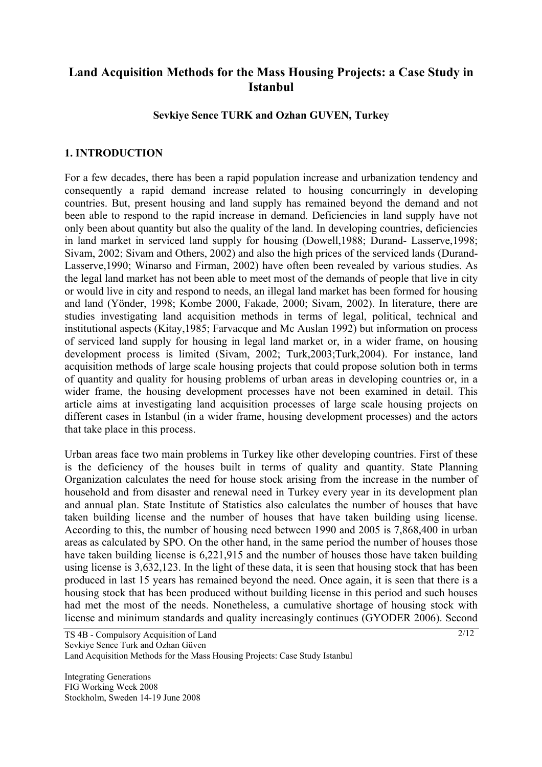# **Land Acquisition Methods for the Mass Housing Projects: a Case Study in Istanbul**

#### **Sevkiye Sence TURK and Ozhan GUVEN, Turkey**

### **1. INTRODUCTION**

For a few decades, there has been a rapid population increase and urbanization tendency and consequently a rapid demand increase related to housing concurringly in developing countries. But, present housing and land supply has remained beyond the demand and not been able to respond to the rapid increase in demand. Deficiencies in land supply have not only been about quantity but also the quality of the land. In developing countries, deficiencies in land market in serviced land supply for housing (Dowell,1988; Durand- Lasserve,1998; Sivam, 2002; Sivam and Others, 2002) and also the high prices of the serviced lands (Durand-Lasserve,1990; Winarso and Firman, 2002) have often been revealed by various studies. As the legal land market has not been able to meet most of the demands of people that live in city or would live in city and respond to needs, an illegal land market has been formed for housing and land (Yönder, 1998; Kombe 2000, Fakade, 2000; Sivam, 2002). In literature, there are studies investigating land acquisition methods in terms of legal, political, technical and institutional aspects (Kitay,1985; Farvacque and Mc Auslan 1992) but information on process of serviced land supply for housing in legal land market or, in a wider frame, on housing development process is limited (Sivam, 2002; Turk,2003;Turk,2004). For instance, land acquisition methods of large scale housing projects that could propose solution both in terms of quantity and quality for housing problems of urban areas in developing countries or, in a wider frame, the housing development processes have not been examined in detail. This article aims at investigating land acquisition processes of large scale housing projects on different cases in Istanbul (in a wider frame, housing development processes) and the actors that take place in this process.

Urban areas face two main problems in Turkey like other developing countries. First of these is the deficiency of the houses built in terms of quality and quantity. State Planning Organization calculates the need for house stock arising from the increase in the number of household and from disaster and renewal need in Turkey every year in its development plan and annual plan. State Institute of Statistics also calculates the number of houses that have taken building license and the number of houses that have taken building using license. According to this, the number of housing need between 1990 and 2005 is 7,868,400 in urban areas as calculated by SPO. On the other hand, in the same period the number of houses those have taken building license is 6,221,915 and the number of houses those have taken building using license is 3,632,123. In the light of these data, it is seen that housing stock that has been produced in last 15 years has remained beyond the need. Once again, it is seen that there is a housing stock that has been produced without building license in this period and such houses had met the most of the needs. Nonetheless, a cumulative shortage of housing stock with license and minimum standards and quality increasingly continues (GYODER 2006). Second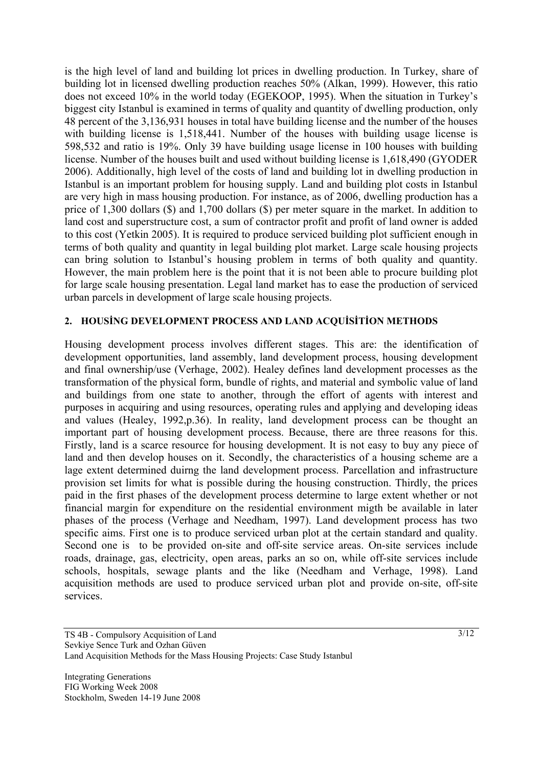is the high level of land and building lot prices in dwelling production. In Turkey, share of building lot in licensed dwelling production reaches 50% (Alkan, 1999). However, this ratio does not exceed 10% in the world today (EGEKOOP, 1995). When the situation in Turkey's biggest city Istanbul is examined in terms of quality and quantity of dwelling production, only 48 percent of the 3,136,931 houses in total have building license and the number of the houses with building license is 1,518,441. Number of the houses with building usage license is 598,532 and ratio is 19%. Only 39 have building usage license in 100 houses with building license. Number of the houses built and used without building license is 1,618,490 (GYODER 2006). Additionally, high level of the costs of land and building lot in dwelling production in Istanbul is an important problem for housing supply. Land and building plot costs in Istanbul are very high in mass housing production. For instance, as of 2006, dwelling production has a price of 1,300 dollars (\$) and 1,700 dollars (\$) per meter square in the market. In addition to land cost and superstructure cost, a sum of contractor profit and profit of land owner is added to this cost (Yetkin 2005). It is required to produce serviced building plot sufficient enough in terms of both quality and quantity in legal building plot market. Large scale housing projects can bring solution to Istanbul's housing problem in terms of both quality and quantity. However, the main problem here is the point that it is not been able to procure building plot for large scale housing presentation. Legal land market has to ease the production of serviced urban parcels in development of large scale housing projects.

#### **2. HOUSİNG DEVELOPMENT PROCESS AND LAND ACQUİSİTİON METHODS**

Housing development process involves different stages. This are: the identification of development opportunities, land assembly, land development process, housing development and final ownership/use (Verhage, 2002). Healey defines land development processes as the transformation of the physical form, bundle of rights, and material and symbolic value of land and buildings from one state to another, through the effort of agents with interest and purposes in acquiring and using resources, operating rules and applying and developing ideas and values (Healey, 1992,p.36). In reality, land development process can be thought an important part of housing development process. Because, there are three reasons for this. Firstly, land is a scarce resource for housing development. It is not easy to buy any piece of land and then develop houses on it. Secondly, the characteristics of a housing scheme are a lage extent determined duirng the land development process. Parcellation and infrastructure provision set limits for what is possible during the housing construction. Thirdly, the prices paid in the first phases of the development process determine to large extent whether or not financial margin for expenditure on the residential environment migth be available in later phases of the process (Verhage and Needham, 1997). Land development process has two specific aims. First one is to produce serviced urban plot at the certain standard and quality. Second one is to be provided on-site and off-site service areas. On-site services include roads, drainage, gas, electricity, open areas, parks an so on, while off-site services include schools, hospitals, sewage plants and the like (Needham and Verhage, 1998). Land acquisition methods are used to produce serviced urban plot and provide on-site, off-site services.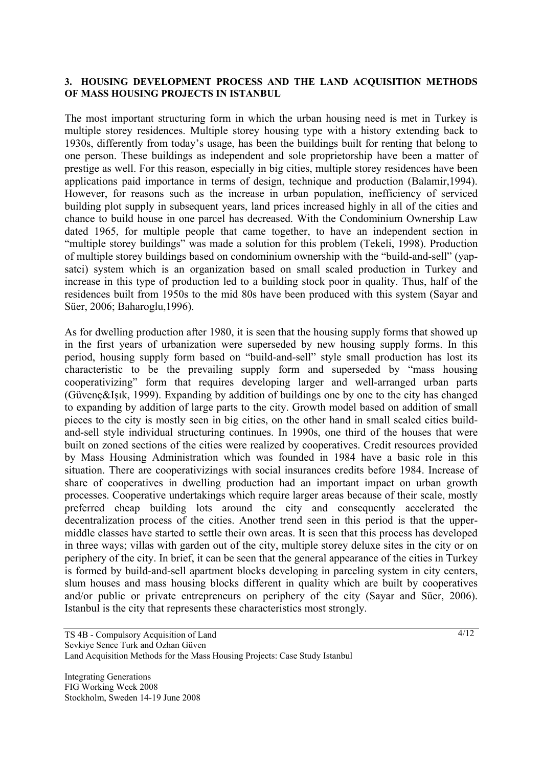#### **3. HOUSING DEVELOPMENT PROCESS AND THE LAND ACQUISITION METHODS OF MASS HOUSING PROJECTS IN ISTANBUL**

The most important structuring form in which the urban housing need is met in Turkey is multiple storey residences. Multiple storey housing type with a history extending back to 1930s, differently from today's usage, has been the buildings built for renting that belong to one person. These buildings as independent and sole proprietorship have been a matter of prestige as well. For this reason, especially in big cities, multiple storey residences have been applications paid importance in terms of design, technique and production (Balamir,1994). However, for reasons such as the increase in urban population, inefficiency of serviced building plot supply in subsequent years, land prices increased highly in all of the cities and chance to build house in one parcel has decreased. With the Condominium Ownership Law dated 1965, for multiple people that came together, to have an independent section in "multiple storey buildings" was made a solution for this problem (Tekeli, 1998). Production of multiple storey buildings based on condominium ownership with the "build-and-sell" (yapsatci) system which is an organization based on small scaled production in Turkey and increase in this type of production led to a building stock poor in quality. Thus, half of the residences built from 1950s to the mid 80s have been produced with this system (Sayar and Süer, 2006; Baharoglu,1996).

As for dwelling production after 1980, it is seen that the housing supply forms that showed up in the first years of urbanization were superseded by new housing supply forms. In this period, housing supply form based on "build-and-sell" style small production has lost its characteristic to be the prevailing supply form and superseded by "mass housing cooperativizing" form that requires developing larger and well-arranged urban parts (Güvenç&Işık, 1999). Expanding by addition of buildings one by one to the city has changed to expanding by addition of large parts to the city. Growth model based on addition of small pieces to the city is mostly seen in big cities, on the other hand in small scaled cities buildand-sell style individual structuring continues. In 1990s, one third of the houses that were built on zoned sections of the cities were realized by cooperatives. Credit resources provided by Mass Housing Administration which was founded in 1984 have a basic role in this situation. There are cooperativizings with social insurances credits before 1984. Increase of share of cooperatives in dwelling production had an important impact on urban growth processes. Cooperative undertakings which require larger areas because of their scale, mostly preferred cheap building lots around the city and consequently accelerated the decentralization process of the cities. Another trend seen in this period is that the uppermiddle classes have started to settle their own areas. It is seen that this process has developed in three ways; villas with garden out of the city, multiple storey deluxe sites in the city or on periphery of the city. In brief, it can be seen that the general appearance of the cities in Turkey is formed by build-and-sell apartment blocks developing in parceling system in city centers, slum houses and mass housing blocks different in quality which are built by cooperatives and/or public or private entrepreneurs on periphery of the city (Sayar and Süer, 2006). Istanbul is the city that represents these characteristics most strongly.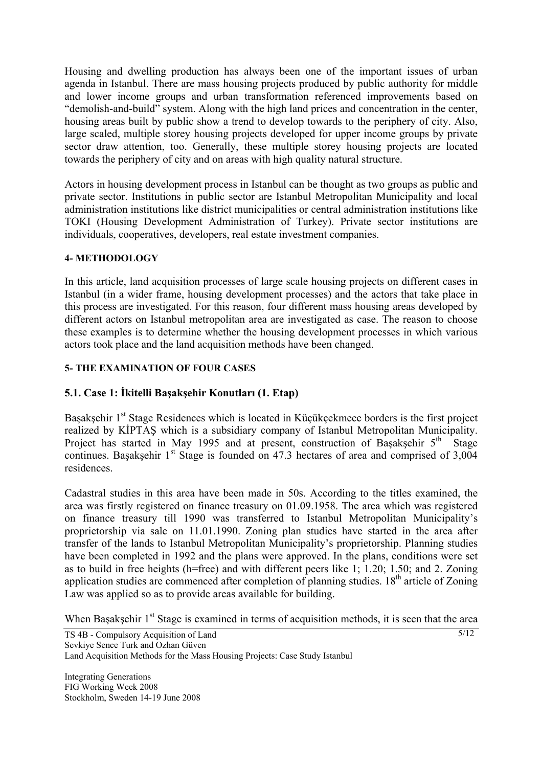Housing and dwelling production has always been one of the important issues of urban agenda in Istanbul. There are mass housing projects produced by public authority for middle and lower income groups and urban transformation referenced improvements based on "demolish-and-build" system. Along with the high land prices and concentration in the center, housing areas built by public show a trend to develop towards to the periphery of city. Also, large scaled, multiple storey housing projects developed for upper income groups by private sector draw attention, too. Generally, these multiple storey housing projects are located towards the periphery of city and on areas with high quality natural structure.

Actors in housing development process in Istanbul can be thought as two groups as public and private sector. Institutions in public sector are Istanbul Metropolitan Municipality and local administration institutions like district municipalities or central administration institutions like TOKI (Housing Development Administration of Turkey). Private sector institutions are individuals, cooperatives, developers, real estate investment companies.

#### **4- METHODOLOGY**

In this article, land acquisition processes of large scale housing projects on different cases in Istanbul (in a wider frame, housing development processes) and the actors that take place in this process are investigated. For this reason, four different mass housing areas developed by different actors on Istanbul metropolitan area are investigated as case. The reason to choose these examples is to determine whether the housing development processes in which various actors took place and the land acquisition methods have been changed.

#### **5- THE EXAMINATION OF FOUR CASES**

### **5.1. Case 1: İkitelli Başakşehir Konutları (1. Etap)**

Başakşehir 1<sup>st</sup> Stage Residences which is located in Küçükçekmece borders is the first project realized by KİPTAŞ which is a subsidiary company of Istanbul Metropolitan Municipality. Project has started in May 1995 and at present, construction of Başakşehir  $5<sup>th</sup>$  Stage continues. Basaksehir  $1<sup>st</sup>$  Stage is founded on 47.3 hectares of area and comprised of 3,004 residences.

Cadastral studies in this area have been made in 50s. According to the titles examined, the area was firstly registered on finance treasury on 01.09.1958. The area which was registered on finance treasury till 1990 was transferred to Istanbul Metropolitan Municipality's proprietorship via sale on 11.01.1990. Zoning plan studies have started in the area after transfer of the lands to Istanbul Metropolitan Municipality's proprietorship. Planning studies have been completed in 1992 and the plans were approved. In the plans, conditions were set as to build in free heights (h=free) and with different peers like 1; 1.20; 1.50; and 2. Zoning application studies are commenced after completion of planning studies. 18<sup>th</sup> article of Zoning Law was applied so as to provide areas available for building.

When Basaksehir 1<sup>st</sup> Stage is examined in terms of acquisition methods, it is seen that the area

5/12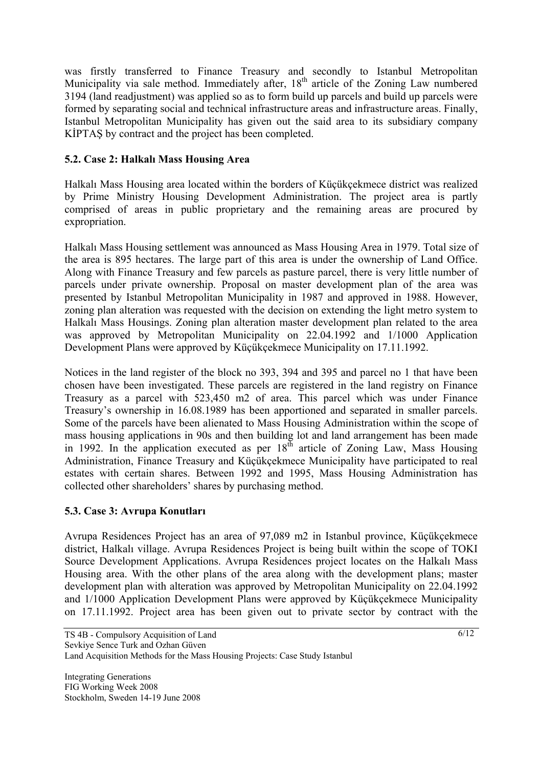was firstly transferred to Finance Treasury and secondly to Istanbul Metropolitan Municipality via sale method. Immediately after, 18<sup>th</sup> article of the Zoning Law numbered 3194 (land readjustment) was applied so as to form build up parcels and build up parcels were formed by separating social and technical infrastructure areas and infrastructure areas. Finally, Istanbul Metropolitan Municipality has given out the said area to its subsidiary company KİPTAŞ by contract and the project has been completed.

# **5.2. Case 2: Halkalı Mass Housing Area**

Halkalı Mass Housing area located within the borders of Küçükçekmece district was realized by Prime Ministry Housing Development Administration. The project area is partly comprised of areas in public proprietary and the remaining areas are procured by expropriation.

Halkalı Mass Housing settlement was announced as Mass Housing Area in 1979. Total size of the area is 895 hectares. The large part of this area is under the ownership of Land Office. Along with Finance Treasury and few parcels as pasture parcel, there is very little number of parcels under private ownership. Proposal on master development plan of the area was presented by Istanbul Metropolitan Municipality in 1987 and approved in 1988. However, zoning plan alteration was requested with the decision on extending the light metro system to Halkalı Mass Housings. Zoning plan alteration master development plan related to the area was approved by Metropolitan Municipality on 22.04.1992 and 1/1000 Application Development Plans were approved by Küçükçekmece Municipality on 17.11.1992.

Notices in the land register of the block no 393, 394 and 395 and parcel no 1 that have been chosen have been investigated. These parcels are registered in the land registry on Finance Treasury as a parcel with 523,450 m2 of area. This parcel which was under Finance Treasury's ownership in 16.08.1989 has been apportioned and separated in smaller parcels. Some of the parcels have been alienated to Mass Housing Administration within the scope of mass housing applications in 90s and then building lot and land arrangement has been made in 1992. In the application executed as per  $18<sup>th</sup>$  article of Zoning Law, Mass Housing Administration, Finance Treasury and Küçükçekmece Municipality have participated to real estates with certain shares. Between 1992 and 1995, Mass Housing Administration has collected other shareholders' shares by purchasing method.

# **5.3. Case 3: Avrupa Konutları**

Avrupa Residences Project has an area of 97,089 m2 in Istanbul province, Küçükçekmece district, Halkalı village. Avrupa Residences Project is being built within the scope of TOKI Source Development Applications. Avrupa Residences project locates on the Halkalı Mass Housing area. With the other plans of the area along with the development plans; master development plan with alteration was approved by Metropolitan Municipality on 22.04.1992 and 1/1000 Application Development Plans were approved by Küçükçekmece Municipality on 17.11.1992. Project area has been given out to private sector by contract with the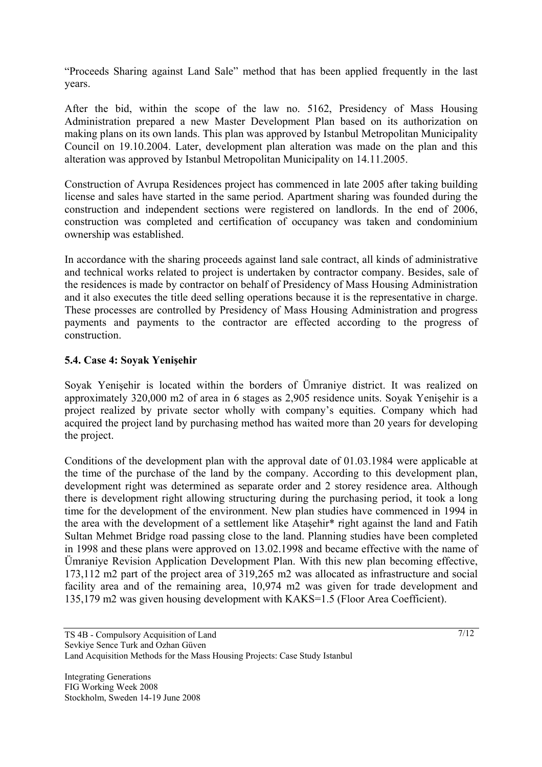"Proceeds Sharing against Land Sale" method that has been applied frequently in the last years.

After the bid, within the scope of the law no. 5162, Presidency of Mass Housing Administration prepared a new Master Development Plan based on its authorization on making plans on its own lands. This plan was approved by Istanbul Metropolitan Municipality Council on 19.10.2004. Later, development plan alteration was made on the plan and this alteration was approved by Istanbul Metropolitan Municipality on 14.11.2005.

Construction of Avrupa Residences project has commenced in late 2005 after taking building license and sales have started in the same period. Apartment sharing was founded during the construction and independent sections were registered on landlords. In the end of 2006, construction was completed and certification of occupancy was taken and condominium ownership was established.

In accordance with the sharing proceeds against land sale contract, all kinds of administrative and technical works related to project is undertaken by contractor company. Besides, sale of the residences is made by contractor on behalf of Presidency of Mass Housing Administration and it also executes the title deed selling operations because it is the representative in charge. These processes are controlled by Presidency of Mass Housing Administration and progress payments and payments to the contractor are effected according to the progress of construction.

### **5.4. Case 4: Soyak Yenişehir**

Soyak Yenişehir is located within the borders of Ümraniye district. It was realized on approximately 320,000 m2 of area in 6 stages as 2,905 residence units. Soyak Yenişehir is a project realized by private sector wholly with company's equities. Company which had acquired the project land by purchasing method has waited more than 20 years for developing the project.

Conditions of the development plan with the approval date of 01.03.1984 were applicable at the time of the purchase of the land by the company. According to this development plan, development right was determined as separate order and 2 storey residence area. Although there is development right allowing structuring during the purchasing period, it took a long time for the development of the environment. New plan studies have commenced in 1994 in the area with the development of a settlement like Ataşehir\* right against the land and Fatih Sultan Mehmet Bridge road passing close to the land. Planning studies have been completed in 1998 and these plans were approved on 13.02.1998 and became effective with the name of Ümraniye Revision Application Development Plan. With this new plan becoming effective, 173,112 m2 part of the project area of 319,265 m2 was allocated as infrastructure and social facility area and of the remaining area, 10,974 m2 was given for trade development and 135,179 m2 was given housing development with KAKS=1.5 (Floor Area Coefficient).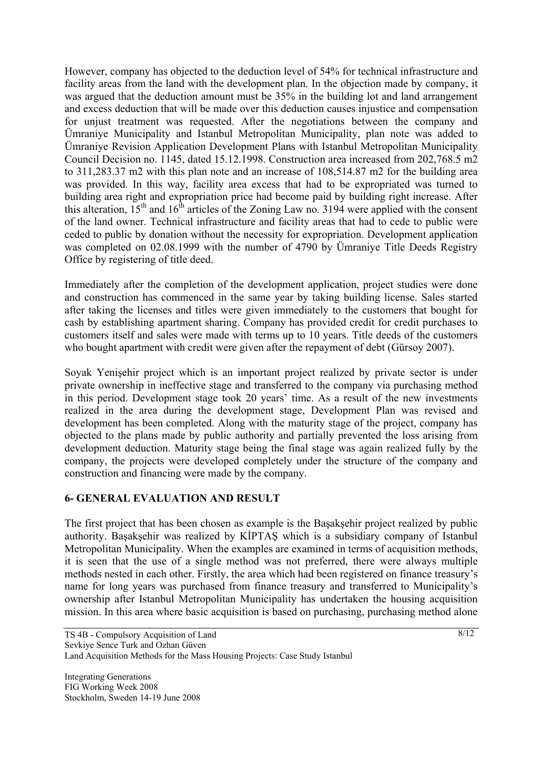However, company has objected to the deduction level of 54% for technical infrastructure and facility areas from the land with the development plan. In the objection made by company, it was argued that the deduction amount must be 35% in the building lot and land arrangement and excess deduction that will be made over this deduction causes injustice and compensation for unjust treatment was requested. After the negotiations between the company and Ümraniye Municipality and Istanbul Metropolitan Municipality, plan note was added to Ümraniye Revision Application Development Plans with Istanbul Metropolitan Municipality Council Decision no. 1145, dated 15.12.1998. Construction area increased from 202,768.5 m2 to 311,283.37 m2 with this plan note and an increase of 108,514.87 m2 for the building area was provided. In this way, facility area excess that had to be expropriated was turned to building area right and expropriation price had become paid by building right increase. After this alteration,  $15<sup>th</sup>$  and  $16<sup>th</sup>$  articles of the Zoning Law no. 3194 were applied with the consent of the land owner. Technical infrastructure and facility areas that had to cede to public were ceded to public by donation without the necessity for expropriation. Development application was completed on 02.08.1999 with the number of 4790 by Ümraniye Title Deeds Registry Office by registering of title deed.

Immediately after the completion of the development application, project studies were done and construction has commenced in the same year by taking building license. Sales started after taking the licenses and titles were given immediately to the customers that bought for cash by establishing apartment sharing. Company has provided credit for credit purchases to customers itself and sales were made with terms up to 10 years. Title deeds of the customers who bought apartment with credit were given after the repayment of debt (Gürsoy 2007).

Soyak Yenişehir project which is an important project realized by private sector is under private ownership in ineffective stage and transferred to the company via purchasing method in this period. Development stage took 20 years' time. As a result of the new investments realized in the area during the development stage, Development Plan was revised and development has been completed. Along with the maturity stage of the project, company has objected to the plans made by public authority and partially prevented the loss arising from development deduction. Maturity stage being the final stage was again realized fully by the company, the projects were developed completely under the structure of the company and construction and financing were made by the company.

# **6- GENERAL EVALUATION AND RESULT**

The first project that has been chosen as example is the Başakşehir project realized by public authority. Başakşehir was realized by KİPTAŞ which is a subsidiary company of Istanbul Metropolitan Municipality. When the examples are examined in terms of acquisition methods, it is seen that the use of a single method was not preferred, there were always multiple methods nested in each other. Firstly, the area which had been registered on finance treasury's name for long years was purchased from finance treasury and transferred to Municipality's ownership after Istanbul Metropolitan Municipality has undertaken the housing acquisition mission. In this area where basic acquisition is based on purchasing, purchasing method alone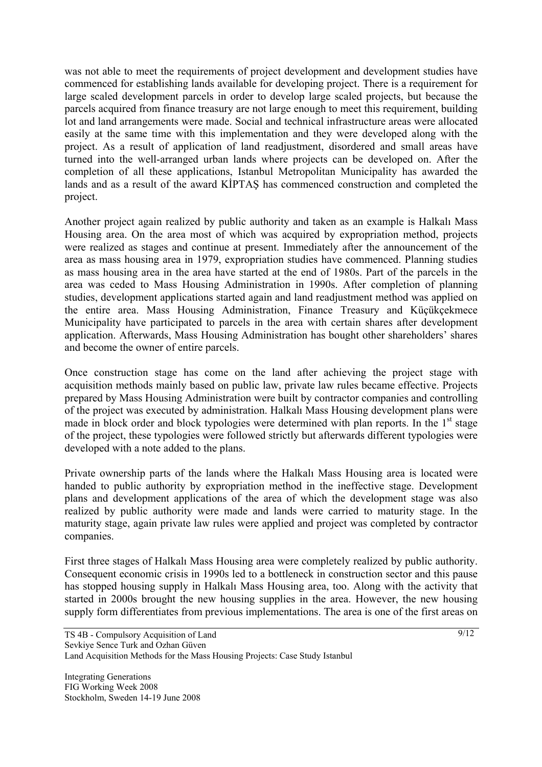was not able to meet the requirements of project development and development studies have commenced for establishing lands available for developing project. There is a requirement for large scaled development parcels in order to develop large scaled projects, but because the parcels acquired from finance treasury are not large enough to meet this requirement, building lot and land arrangements were made. Social and technical infrastructure areas were allocated easily at the same time with this implementation and they were developed along with the project. As a result of application of land readjustment, disordered and small areas have turned into the well-arranged urban lands where projects can be developed on. After the completion of all these applications, Istanbul Metropolitan Municipality has awarded the lands and as a result of the award KİPTAŞ has commenced construction and completed the project.

Another project again realized by public authority and taken as an example is Halkalı Mass Housing area. On the area most of which was acquired by expropriation method, projects were realized as stages and continue at present. Immediately after the announcement of the area as mass housing area in 1979, expropriation studies have commenced. Planning studies as mass housing area in the area have started at the end of 1980s. Part of the parcels in the area was ceded to Mass Housing Administration in 1990s. After completion of planning studies, development applications started again and land readjustment method was applied on the entire area. Mass Housing Administration, Finance Treasury and Küçükçekmece Municipality have participated to parcels in the area with certain shares after development application. Afterwards, Mass Housing Administration has bought other shareholders' shares and become the owner of entire parcels.

Once construction stage has come on the land after achieving the project stage with acquisition methods mainly based on public law, private law rules became effective. Projects prepared by Mass Housing Administration were built by contractor companies and controlling of the project was executed by administration. Halkalı Mass Housing development plans were made in block order and block typologies were determined with plan reports. In the  $1<sup>st</sup>$  stage of the project, these typologies were followed strictly but afterwards different typologies were developed with a note added to the plans.

Private ownership parts of the lands where the Halkalı Mass Housing area is located were handed to public authority by expropriation method in the ineffective stage. Development plans and development applications of the area of which the development stage was also realized by public authority were made and lands were carried to maturity stage. In the maturity stage, again private law rules were applied and project was completed by contractor companies.

First three stages of Halkalı Mass Housing area were completely realized by public authority. Consequent economic crisis in 1990s led to a bottleneck in construction sector and this pause has stopped housing supply in Halkalı Mass Housing area, too. Along with the activity that started in 2000s brought the new housing supplies in the area. However, the new housing supply form differentiates from previous implementations. The area is one of the first areas on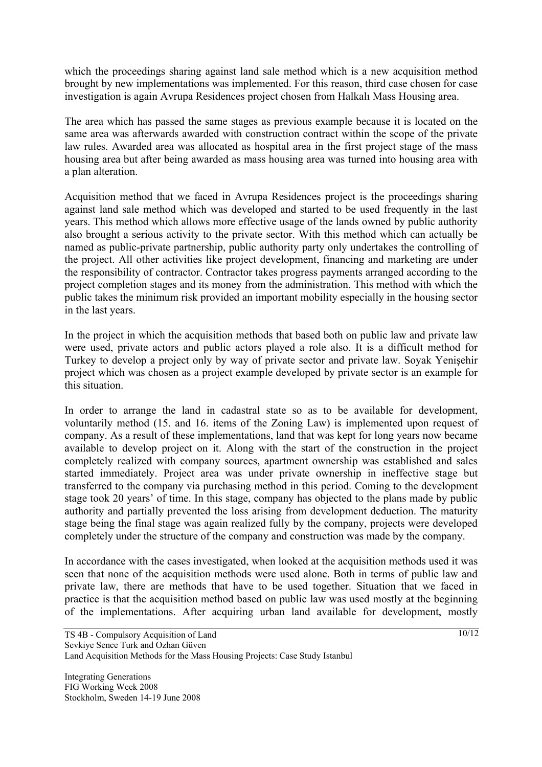which the proceedings sharing against land sale method which is a new acquisition method brought by new implementations was implemented. For this reason, third case chosen for case investigation is again Avrupa Residences project chosen from Halkalı Mass Housing area.

The area which has passed the same stages as previous example because it is located on the same area was afterwards awarded with construction contract within the scope of the private law rules. Awarded area was allocated as hospital area in the first project stage of the mass housing area but after being awarded as mass housing area was turned into housing area with a plan alteration.

Acquisition method that we faced in Avrupa Residences project is the proceedings sharing against land sale method which was developed and started to be used frequently in the last years. This method which allows more effective usage of the lands owned by public authority also brought a serious activity to the private sector. With this method which can actually be named as public-private partnership, public authority party only undertakes the controlling of the project. All other activities like project development, financing and marketing are under the responsibility of contractor. Contractor takes progress payments arranged according to the project completion stages and its money from the administration. This method with which the public takes the minimum risk provided an important mobility especially in the housing sector in the last years.

In the project in which the acquisition methods that based both on public law and private law were used, private actors and public actors played a role also. It is a difficult method for Turkey to develop a project only by way of private sector and private law. Soyak Yenişehir project which was chosen as a project example developed by private sector is an example for this situation.

In order to arrange the land in cadastral state so as to be available for development, voluntarily method (15. and 16. items of the Zoning Law) is implemented upon request of company. As a result of these implementations, land that was kept for long years now became available to develop project on it. Along with the start of the construction in the project completely realized with company sources, apartment ownership was established and sales started immediately. Project area was under private ownership in ineffective stage but transferred to the company via purchasing method in this period. Coming to the development stage took 20 years' of time. In this stage, company has objected to the plans made by public authority and partially prevented the loss arising from development deduction. The maturity stage being the final stage was again realized fully by the company, projects were developed completely under the structure of the company and construction was made by the company.

In accordance with the cases investigated, when looked at the acquisition methods used it was seen that none of the acquisition methods were used alone. Both in terms of public law and private law, there are methods that have to be used together. Situation that we faced in practice is that the acquisition method based on public law was used mostly at the beginning of the implementations. After acquiring urban land available for development, mostly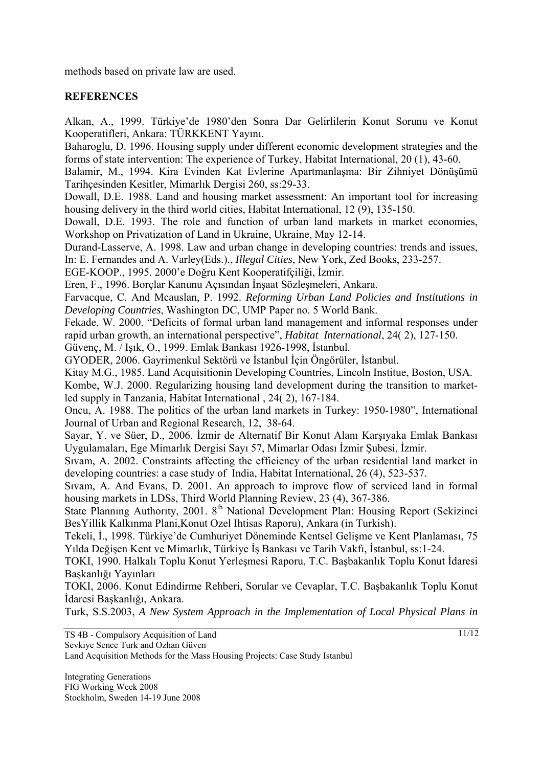methods based on private law are used.

# **REFERENCES**

Alkan, A., 1999. Türkiye'de 1980'den Sonra Dar Gelirlilerin Konut Sorunu ve Konut Kooperatifleri, Ankara: TÜRKKENT Yayını.

Baharoglu, D. 1996. Housing supply under different economic development strategies and the forms of state intervention: The experience of Turkey, Habitat International*,* 20 (1), 43-60.

Balamir, M., 1994. Kira Evinden Kat Evlerine Apartmanlaşma: Bir Zihniyet Dönüşümü Tarihçesinden Kesitler, Mimarlık Dergisi 260, ss:29-33.

Dowall, D.E. 1988. Land and housing market assessment: An important tool for increasing housing delivery in the third world cities, Habitat International, 12 (9), 135-150.

Dowall, D.E. 1993. The role and function of urban land markets in market economies, Workshop on Privatization of Land in Ukraine, Ukraine, May 12-14.

Durand-Lasserve, A. 1998. Law and urban change in developing countries: trends and issues, In: E. Fernandes and A. Varley(Eds.)., *Illegal Cities*, New York, Zed Books, 233-257.

EGE-KOOP., 1995. 2000'e Doğru Kent Kooperatifçiliği, İzmir.

Eren, F., 1996. Borçlar Kanunu Açısından İnşaat Sözleşmeleri, Ankara.

Farvacque, C. And Mcauslan, P. 1992. *Reforming Urban Land Policies and Institutions in Developing Countries*, Washington DC, UMP Paper no. 5 World Bank.

Fekade, W. 2000. "Deficits of formal urban land management and informal responses under rapid urban growth, an international perspective", *Habitat International*, 24( 2), 127-150.

Güvenç, M. / Işık, O., 1999. Emlak Bankası 1926-1998, İstanbul.

GYODER, 2006. Gayrimenkul Sektörü ve İstanbul İçin Öngörüler, İstanbul.

Kitay M.G., 1985. Land Acquisitionin Developing Countries, Lincoln Institue, Boston, USA.

Kombe, W.J. 2000. Regularizing housing land development during the transition to marketled supply in Tanzania, Habitat International , 24( 2), 167-184.

Oncu, A. 1988. The politics of the urban land markets in Turkey: 1950-1980", International Journal of Urban and Regional Research, 12, 38-64.

Sayar, Y. ve Süer, D., 2006. İzmir de Alternatif Bir Konut Alanı Karşıyaka Emlak Bankası Uygulamaları, Ege Mimarlık Dergisi Sayı 57, Mimarlar Odası İzmir Şubesi, İzmir.

Sıvam, A. 2002. Constraints affecting the efficiency of the urban residential land market in developing countries: a case study of India, Habitat International, 26 (4), 523-537.

Sıvam, A. And Evans, D. 2001. An approach to improve flow of serviced land in formal housing markets in LDSs, Third World Planning Review, 23 (4), 367-386.

State Planning Authority, 2001. 8<sup>th</sup> National Development Plan: Housing Report (Sekizinci BesYillik Kalkınma Plani,Konut Ozel Ihtisas Raporu), Ankara (in Turkish).

Tekeli, İ., 1998. Türkiye'de Cumhuriyet Döneminde Kentsel Gelişme ve Kent Planlaması, 75 Yılda Değişen Kent ve Mimarlık, Türkiye İş Bankası ve Tarih Vakfı, İstanbul, ss:1-24.

TOKI, 1990. Halkalı Toplu Konut Yerleşmesi Raporu, T.C. Başbakanlık Toplu Konut İdaresi Başkanlığı Yayınları

TOKI, 2006. Konut Edindirme Rehberi, Sorular ve Cevaplar, T.C. Başbakanlık Toplu Konut İdaresi Başkanlığı, Ankara.

Turk, S.S.2003, *A New System Approach in the Implementation of Local Physical Plans in*